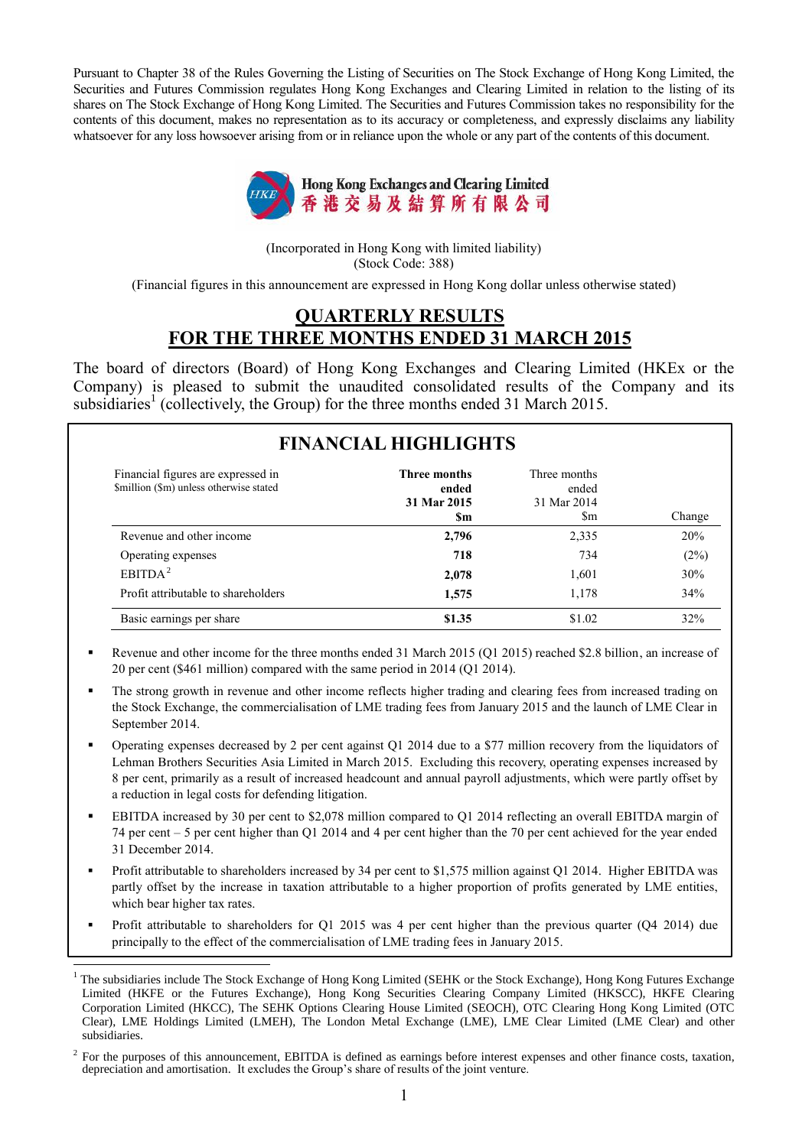Pursuant to Chapter 38 of the Rules Governing the Listing of Securities on The Stock Exchange of Hong Kong Limited, the Securities and Futures Commission regulates Hong Kong Exchanges and Clearing Limited in relation to the listing of its shares on The Stock Exchange of Hong Kong Limited. The Securities and Futures Commission takes no responsibility for the contents of this document, makes no representation as to its accuracy or completeness, and expressly disclaims any liability whatsoever for any loss howsoever arising from or in reliance upon the whole or any part of the contents of this document.



(Incorporated in Hong Kong with limited liability) (Stock Code: 388)

(Financial figures in this announcement are expressed in Hong Kong dollar unless otherwise stated)

#### **QUARTERLY RESULTS FOR THE THREE MONTHS ENDED 31 MARCH 2015**

The board of directors (Board) of Hong Kong Exchanges and Clearing Limited (HKEx or the Company) is pleased to submit the unaudited consolidated results of the Company and its subsidiaries<sup>1</sup> (collectively, the Group) for the three months ended 31 March 2015.

|                                                                               | <b>FINANCIAL HIGHLIGHTS</b>                       |                                             |        |
|-------------------------------------------------------------------------------|---------------------------------------------------|---------------------------------------------|--------|
| Financial figures are expressed in<br>\$million (\$m) unless otherwise stated | <b>Three months</b><br>ended<br>31 Mar 2015<br>Sm | Three months<br>ended<br>31 Mar 2014<br>\$m | Change |
| Revenue and other income                                                      | 2,796                                             | 2,335                                       | 20%    |
| Operating expenses                                                            | 718                                               | 734                                         | (2%)   |
| EBITDA <sup>2</sup>                                                           | 2,078                                             | 1,601                                       | 30%    |
| Profit attributable to shareholders                                           | 1,575                                             | 1,178                                       | 34%    |
| Basic earnings per share                                                      | \$1.35                                            | \$1.02                                      | 32%    |

- Revenue and other income for the three months ended 31 March 2015 (Q1 2015) reached \$2.8 billion, an increase of 20 per cent (\$461 million) compared with the same period in 2014 (Q1 2014).
- The strong growth in revenue and other income reflects higher trading and clearing fees from increased trading on the Stock Exchange, the commercialisation of LME trading fees from January 2015 and the launch of LME Clear in September 2014.
- Operating expenses decreased by 2 per cent against Q1 2014 due to a \$77 million recovery from the liquidators of Lehman Brothers Securities Asia Limited in March 2015. Excluding this recovery, operating expenses increased by 8 per cent, primarily as a result of increased headcount and annual payroll adjustments, which were partly offset by a reduction in legal costs for defending litigation.
- EBITDA increased by 30 per cent to \$2,078 million compared to Q1 2014 reflecting an overall EBITDA margin of 74 per cent – 5 per cent higher than Q1 2014 and 4 per cent higher than the 70 per cent achieved for the year ended 31 December 2014.
- Profit attributable to shareholders increased by 34 per cent to \$1,575 million against Q1 2014. Higher EBITDA was partly offset by the increase in taxation attributable to a higher proportion of profits generated by LME entities, which bear higher tax rates.
- Profit attributable to shareholders for Q1 2015 was 4 per cent higher than the previous quarter (Q4 2014) due principally to the effect of the commercialisation of LME trading fees in January 2015.

 $\overline{a}$ <sup>1</sup> The subsidiaries include The Stock Exchange of Hong Kong Limited (SEHK or the Stock Exchange), Hong Kong Futures Exchange Limited (HKFE or the Futures Exchange), Hong Kong Securities Clearing Company Limited (HKSCC), HKFE Clearing Corporation Limited (HKCC), The SEHK Options Clearing House Limited (SEOCH), OTC Clearing Hong Kong Limited (OTC Clear), LME Holdings Limited (LMEH), The London Metal Exchange (LME), LME Clear Limited (LME Clear) and other subsidiaries.

 $2^2$  For the purposes of this announcement, EBITDA is defined as earnings before interest expenses and other finance costs, taxation, depreciation and amortisation. It excludes the Group's share of results of the joint venture.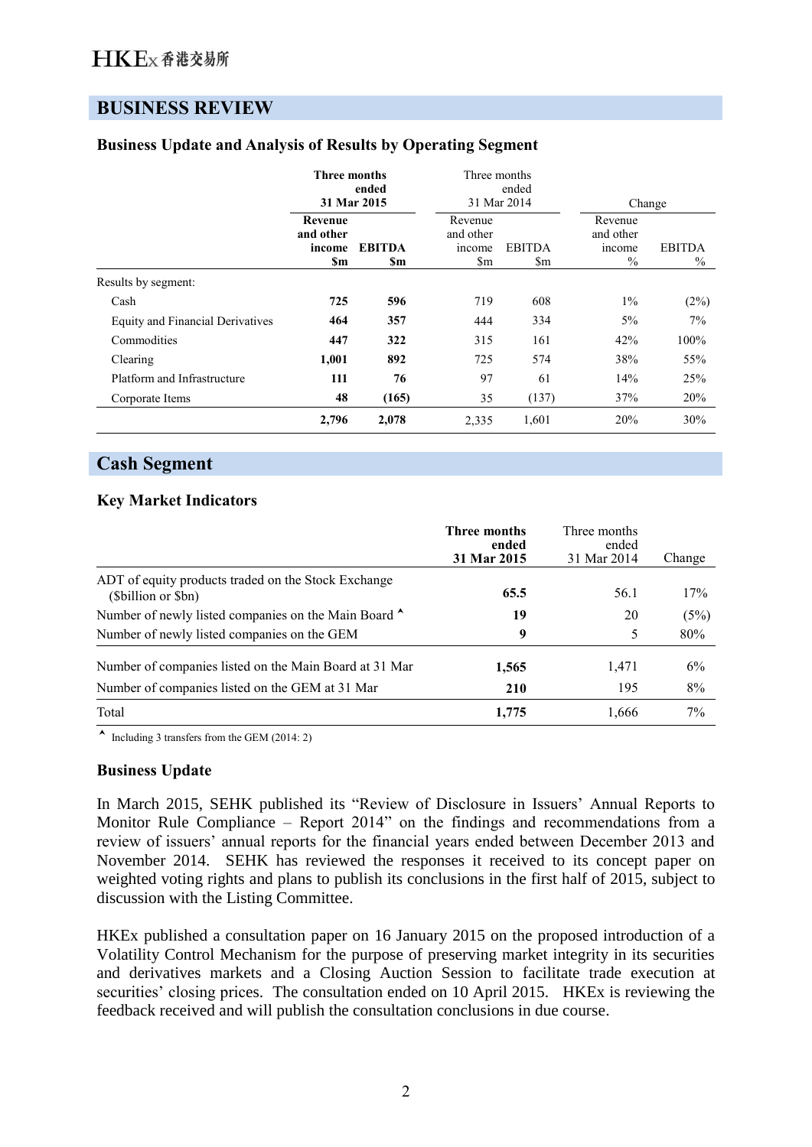# **BUSINESS REVIEW**

|                                         | Three months<br>ended<br>31 Mar 2015  |                      |                                                              | Three months<br>ended<br>31 Mar 2014 |                                        | Change                |  |
|-----------------------------------------|---------------------------------------|----------------------|--------------------------------------------------------------|--------------------------------------|----------------------------------------|-----------------------|--|
|                                         | Revenue<br>and other<br>income<br>\$m | <b>EBITDA</b><br>\$m | Revenue<br>and other<br>income<br>$\mathop{\rm Sm}\nolimits$ | <b>EBITDA</b><br>\$m                 | Revenue<br>and other<br>income<br>$\%$ | <b>EBITDA</b><br>$\%$ |  |
| Results by segment:                     |                                       |                      |                                                              |                                      |                                        |                       |  |
| Cash                                    | 725                                   | 596                  | 719                                                          | 608                                  | $1\%$                                  | (2%)                  |  |
| <b>Equity and Financial Derivatives</b> | 464                                   | 357                  | 444                                                          | 334                                  | 5%                                     | 7%                    |  |
| Commodities                             | 447                                   | 322                  | 315                                                          | 161                                  | 42%                                    | 100%                  |  |
| Clearing                                | 1,001                                 | 892                  | 725                                                          | 574                                  | 38%                                    | 55%                   |  |
| Platform and Infrastructure             | 111                                   | 76                   | 97                                                           | 61                                   | 14%                                    | 25%                   |  |
| Corporate Items                         | 48                                    | (165)                | 35                                                           | (137)                                | 37%                                    | 20%                   |  |
|                                         | 2,796                                 | 2,078                | 2,335                                                        | 1,601                                | 20%                                    | 30%                   |  |

## **Business Update and Analysis of Results by Operating Segment**

## **Cash Segment**

### **Key Market Indicators**

|                                                                          | <b>Three months</b><br>ended<br>31 Mar 2015 | Three months<br>ended<br>31 Mar 2014 | Change |
|--------------------------------------------------------------------------|---------------------------------------------|--------------------------------------|--------|
| ADT of equity products traded on the Stock Exchange<br>(Sbillion or Sbn) | 65.5                                        | 56.1                                 | 17%    |
| Number of newly listed companies on the Main Board ^                     | 19                                          | 20                                   | (5%)   |
| Number of newly listed companies on the GEM                              | 9                                           | 5                                    | 80%    |
| Number of companies listed on the Main Board at 31 Mar                   | 1,565                                       | 1,471                                | 6%     |
| Number of companies listed on the GEM at 31 Mar                          | 210                                         | 195                                  | 8%     |
| Total                                                                    | 1,775                                       | 1,666                                | 7%     |

Including 3 transfers from the GEM (2014: 2)

#### **Business Update**

In March 2015, SEHK published its "Review of Disclosure in Issuers' Annual Reports to Monitor Rule Compliance – Report 2014" on the findings and recommendations from a review of issuers' annual reports for the financial years ended between December 2013 and November 2014. SEHK has reviewed the responses it received to its concept paper on weighted voting rights and plans to publish its conclusions in the first half of 2015, subject to discussion with the Listing Committee.

HKEx published a consultation paper on 16 January 2015 on the proposed introduction of a Volatility Control Mechanism for the purpose of preserving market integrity in its securities and derivatives markets and a Closing Auction Session to facilitate trade execution at securities' closing prices. The consultation ended on 10 April 2015. HKEx is reviewing the feedback received and will publish the consultation conclusions in due course.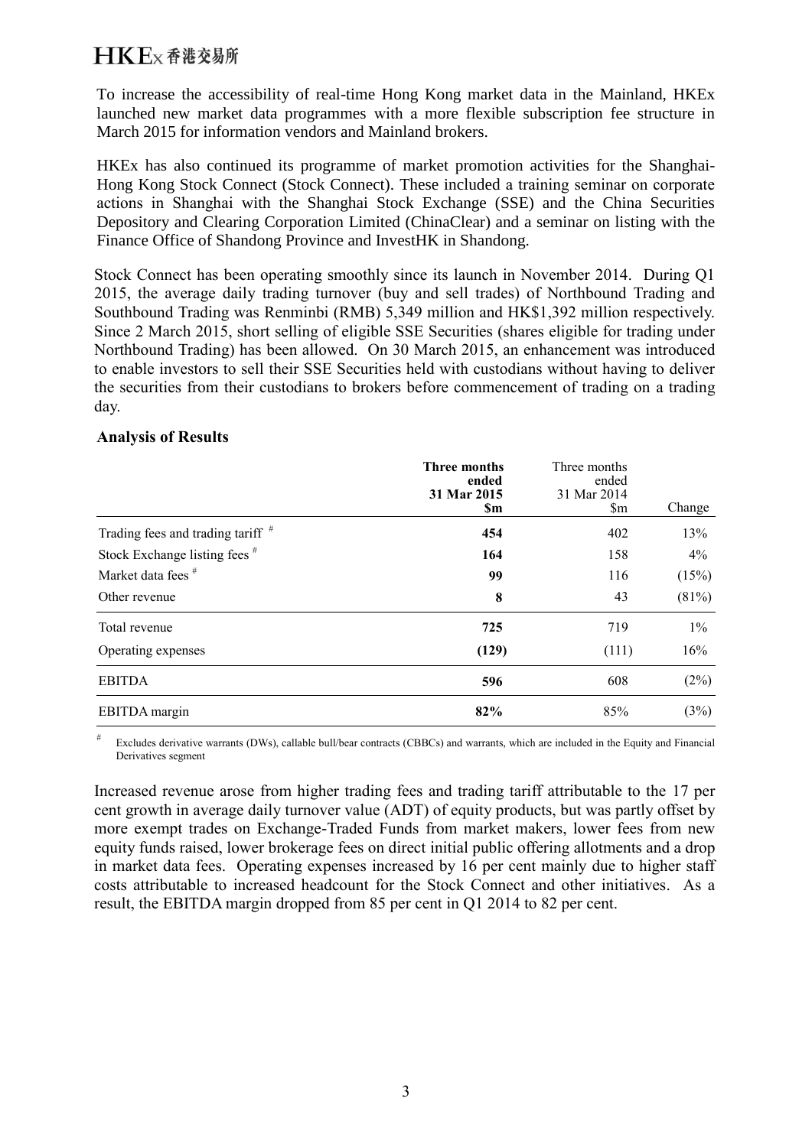To increase the accessibility of real-time Hong Kong market data in the Mainland, HKEx launched new market data programmes with a more flexible subscription fee structure in March 2015 for information vendors and Mainland brokers.

HKEx has also continued its programme of market promotion activities for the Shanghai-Hong Kong Stock Connect (Stock Connect). These included a training seminar on corporate actions in Shanghai with the Shanghai Stock Exchange (SSE) and the China Securities Depository and Clearing Corporation Limited (ChinaClear) and a seminar on listing with the Finance Office of Shandong Province and InvestHK in Shandong.

Stock Connect has been operating smoothly since its launch in November 2014. During Q1 2015, the average daily trading turnover (buy and sell trades) of Northbound Trading and Southbound Trading was Renminbi (RMB) 5,349 million and HK\$1,392 million respectively. Since 2 March 2015, short selling of eligible SSE Securities (shares eligible for trading under Northbound Trading) has been allowed. On 30 March 2015, an enhancement was introduced to enable investors to sell their SSE Securities held with custodians without having to deliver the securities from their custodians to brokers before commencement of trading on a trading day.

### **Analysis of Results**

|                                          | <b>Three months</b><br>ended<br>31 Mar 2015<br><b>Sm</b> | Three months<br>ended<br>31 Mar 2014<br>$\mathbf{\S}$ m | Change |
|------------------------------------------|----------------------------------------------------------|---------------------------------------------------------|--------|
| Trading fees and trading tariff $#$      | 454                                                      | 402                                                     | 13%    |
| Stock Exchange listing fees <sup>#</sup> | 164                                                      | 158                                                     | $4\%$  |
| Market data fees <sup>#</sup>            | 99                                                       | 116                                                     | (15%)  |
| Other revenue                            | 8                                                        | 43                                                      | (81%)  |
| Total revenue                            | 725                                                      | 719                                                     | $1\%$  |
| Operating expenses                       | (129)                                                    | (111)                                                   | 16%    |
| <b>EBITDA</b>                            | 596                                                      | 608                                                     | (2%)   |
| EBITDA margin                            | 82%                                                      | 85%                                                     | (3%)   |

Excludes derivative warrants (DWs), callable bull/bear contracts (CBBCs) and warrants, which are included in the Equity and Financial Derivatives segment

Increased revenue arose from higher trading fees and trading tariff attributable to the 17 per cent growth in average daily turnover value (ADT) of equity products, but was partly offset by more exempt trades on Exchange-Traded Funds from market makers, lower fees from new equity funds raised, lower brokerage fees on direct initial public offering allotments and a drop in market data fees. Operating expenses increased by 16 per cent mainly due to higher staff costs attributable to increased headcount for the Stock Connect and other initiatives. As a result, the EBITDA margin dropped from 85 per cent in Q1 2014 to 82 per cent.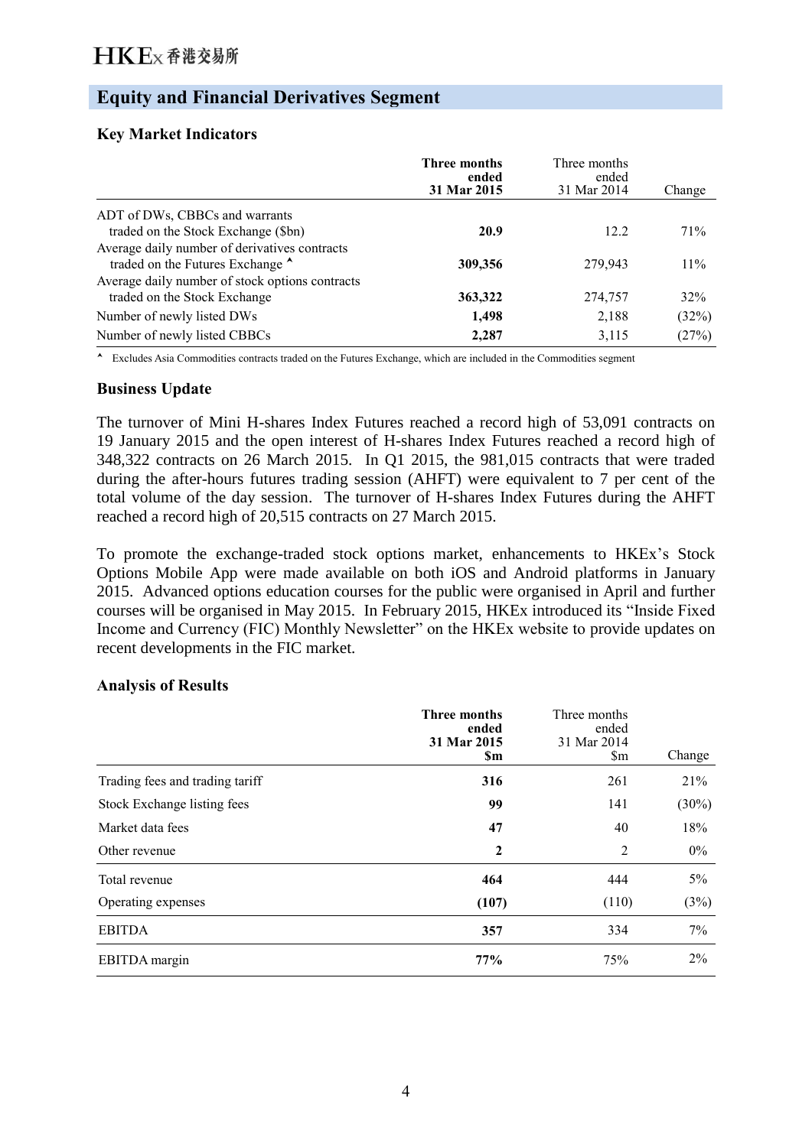# **Equity and Financial Derivatives Segment**

### **Key Market Indicators**

|                                                                                   | <b>Three months</b><br>ended<br>31 Mar 2015 | Three months<br>ended<br>31 Mar 2014 | Change |
|-----------------------------------------------------------------------------------|---------------------------------------------|--------------------------------------|--------|
| ADT of DWs, CBBCs and warrants                                                    |                                             |                                      |        |
| traded on the Stock Exchange (\$bn)                                               | 20.9                                        | 12.2                                 | 71\%   |
| Average daily number of derivatives contracts<br>traded on the Futures Exchange ^ | 309,356                                     | 279,943                              | $11\%$ |
| Average daily number of stock options contracts<br>traded on the Stock Exchange   | 363,322                                     | 274,757                              | 32%    |
| Number of newly listed DWs                                                        | 1,498                                       | 2,188                                | (32%)  |
| Number of newly listed CBBCs                                                      | 2,287                                       | 3,115                                | (27%)  |

Excludes Asia Commodities contracts traded on the Futures Exchange, which are included in the Commodities segment

### **Business Update**

The turnover of Mini H-shares Index Futures reached a record high of 53,091 contracts on 19 January 2015 and the open interest of H-shares Index Futures reached a record high of 348,322 contracts on 26 March 2015. In Q1 2015, the 981,015 contracts that were traded during the after-hours futures trading session (AHFT) were equivalent to 7 per cent of the total volume of the day session. The turnover of H-shares Index Futures during the AHFT reached a record high of 20,515 contracts on 27 March 2015.

To promote the exchange-traded stock options market, enhancements to HKEx's Stock Options Mobile App were made available on both iOS and Android platforms in January 2015. Advanced options education courses for the public were organised in April and further courses will be organised in May 2015. In February 2015, HKEx introduced its "Inside Fixed Income and Currency (FIC) Monthly Newsletter" on the HKEx website to provide updates on recent developments in the FIC market.

#### **Analysis of Results**

|                                 | <b>Three months</b><br>ended<br>31 Mar 2015<br><b>Sm</b> | Three months<br>ended<br>31 Mar 2014<br>$\mathbb{S}_{m}$ | Change   |
|---------------------------------|----------------------------------------------------------|----------------------------------------------------------|----------|
| Trading fees and trading tariff | 316                                                      | 261                                                      | 21%      |
| Stock Exchange listing fees     | 99                                                       | 141                                                      | $(30\%)$ |
| Market data fees                | 47                                                       | 40                                                       | 18%      |
| Other revenue                   | $\boldsymbol{2}$                                         | 2                                                        | $0\%$    |
| Total revenue                   | 464                                                      | 444                                                      | $5\%$    |
| Operating expenses              | (107)                                                    | (110)                                                    | (3%)     |
| <b>EBITDA</b>                   | 357                                                      | 334                                                      | 7%       |
| EBITDA margin                   | 77%                                                      | 75%                                                      | $2\%$    |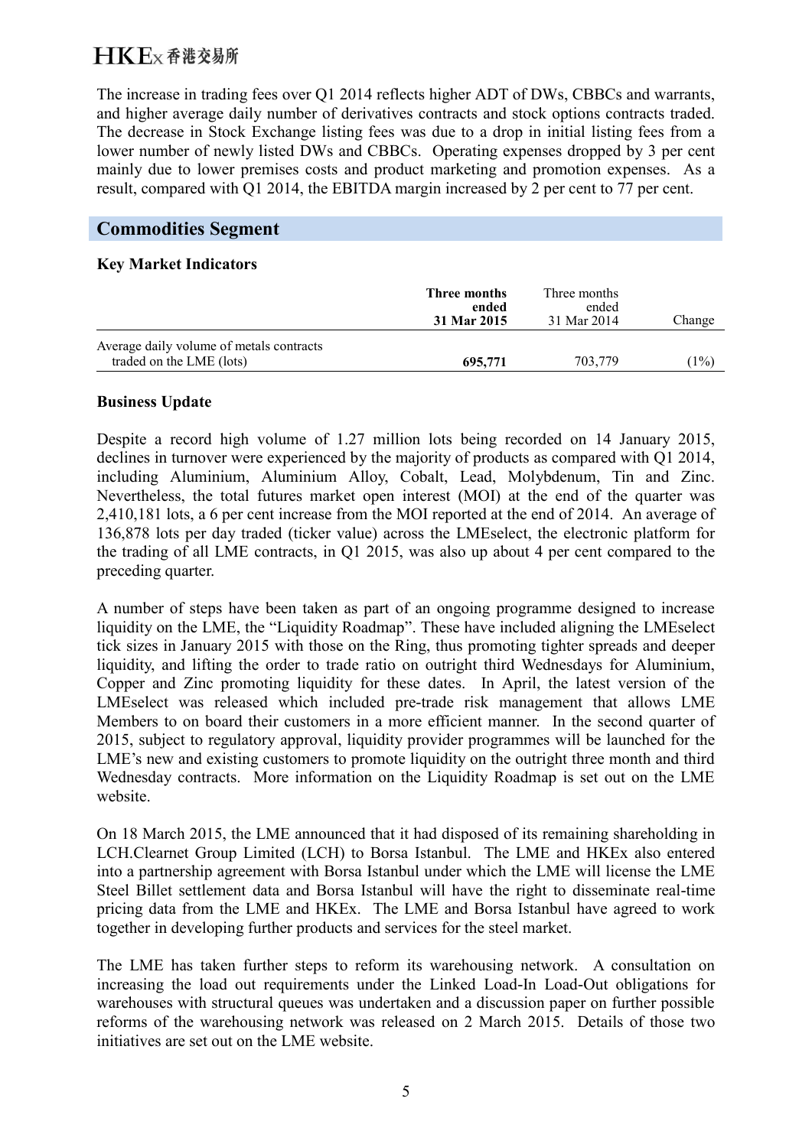The increase in trading fees over Q1 2014 reflects higher ADT of DWs, CBBCs and warrants, and higher average daily number of derivatives contracts and stock options contracts traded. The decrease in Stock Exchange listing fees was due to a drop in initial listing fees from a lower number of newly listed DWs and CBBCs. Operating expenses dropped by 3 per cent mainly due to lower premises costs and product marketing and promotion expenses. As a result, compared with Q1 2014, the EBITDA margin increased by 2 per cent to 77 per cent.

## **Commodities Segment**

### **Key Market Indicators**

|                                                                      | Three months<br>ended<br>31 Mar 2015 | Three months<br>ended<br>31 Mar 2014 | Change |
|----------------------------------------------------------------------|--------------------------------------|--------------------------------------|--------|
| Average daily volume of metals contracts<br>traded on the LME (lots) | 695,771                              | 703.779                              | 1%     |

### **Business Update**

Despite a record high volume of 1.27 million lots being recorded on 14 January 2015, declines in turnover were experienced by the majority of products as compared with Q1 2014, including Aluminium, Aluminium Alloy, Cobalt, Lead, Molybdenum, Tin and Zinc. Nevertheless, the total futures market open interest (MOI) at the end of the quarter was 2,410,181 lots, a 6 per cent increase from the MOI reported at the end of 2014. An average of 136,878 lots per day traded (ticker value) across the LMEselect, the electronic platform for the trading of all LME contracts, in Q1 2015, was also up about 4 per cent compared to the preceding quarter.

A number of steps have been taken as part of an ongoing programme designed to increase liquidity on the LME, the "Liquidity Roadmap". These have included aligning the LMEselect tick sizes in January 2015 with those on the Ring, thus promoting tighter spreads and deeper liquidity, and lifting the order to trade ratio on outright third Wednesdays for Aluminium, Copper and Zinc promoting liquidity for these dates. In April, the latest version of the LMEselect was released which included pre-trade risk management that allows LME Members to on board their customers in a more efficient manner. In the second quarter of 2015, subject to regulatory approval, liquidity provider programmes will be launched for the LME's new and existing customers to promote liquidity on the outright three month and third Wednesday contracts. More information on the Liquidity Roadmap is set out on the LME website.

On 18 March 2015, the LME announced that it had disposed of its remaining shareholding in LCH.Clearnet Group Limited (LCH) to Borsa Istanbul. The LME and HKEx also entered into a partnership agreement with Borsa Istanbul under which the LME will license the LME Steel Billet settlement data and Borsa Istanbul will have the right to disseminate real-time pricing data from the LME and HKEx. The LME and Borsa Istanbul have agreed to work together in developing further products and services for the steel market.

The LME has taken further steps to reform its warehousing network. A consultation on increasing the load out requirements under the Linked Load-In Load-Out obligations for warehouses with structural queues was undertaken and a discussion paper on further possible reforms of the warehousing network was released on 2 March 2015. Details of those two initiatives are set out on the LME website.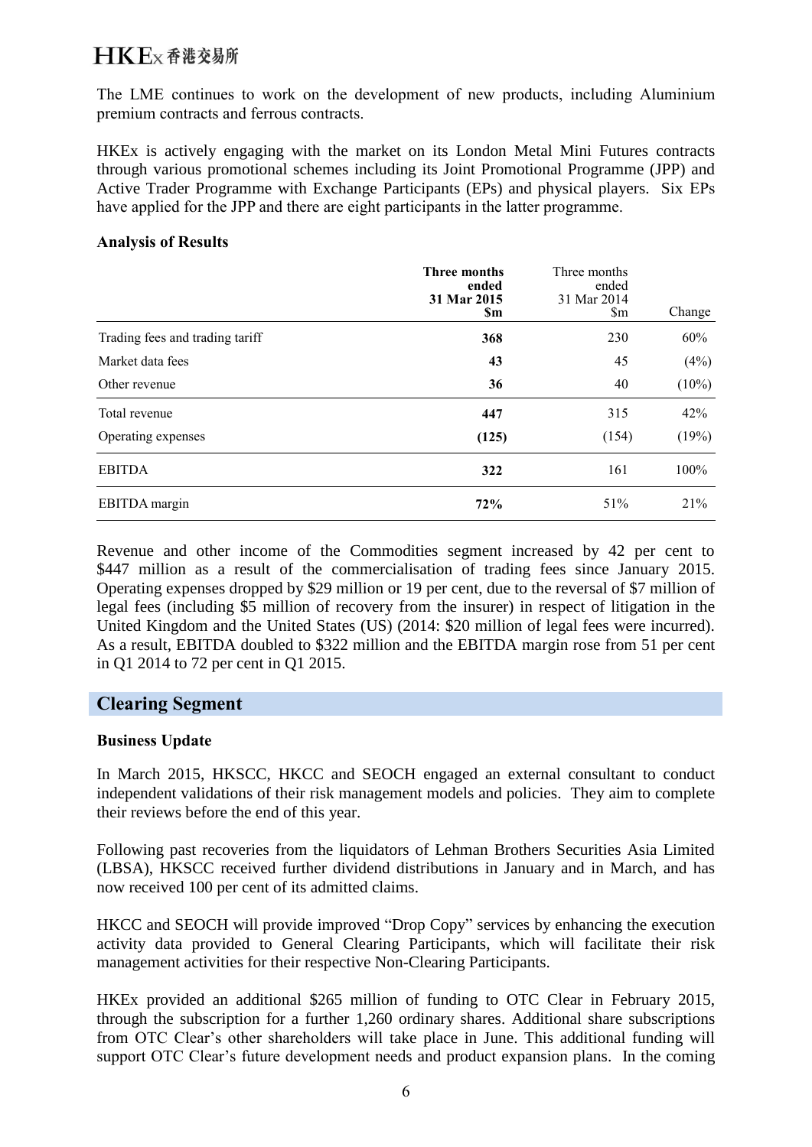# $H$ K $F$ <sub>x</sub> 香港交易所

The LME continues to work on the development of new products, including Aluminium premium contracts and ferrous contracts.

HKEx is actively engaging with the market on its London Metal Mini Futures contracts through various promotional schemes including its Joint Promotional Programme (JPP) and Active Trader Programme with Exchange Participants (EPs) and physical players. Six EPs have applied for the JPP and there are eight participants in the latter programme.

#### **Analysis of Results**

|                                 | <b>Three months</b><br>ended<br>31 Mar 2015<br><b>Sm</b> | Three months<br>ended<br>31 Mar 2014<br>$\mathsf{Sm}$ | Change   |
|---------------------------------|----------------------------------------------------------|-------------------------------------------------------|----------|
| Trading fees and trading tariff | 368                                                      | 230                                                   | 60%      |
| Market data fees                | 43                                                       | 45                                                    | (4%)     |
| Other revenue                   | 36                                                       | 40                                                    | $(10\%)$ |
| Total revenue                   | 447                                                      | 315                                                   | 42%      |
| Operating expenses              | (125)                                                    | (154)                                                 | (19%)    |
| <b>EBITDA</b>                   | 322                                                      | 161                                                   | 100%     |
| EBITDA margin                   | 72%                                                      | 51%                                                   | 21%      |

Revenue and other income of the Commodities segment increased by 42 per cent to \$447 million as a result of the commercialisation of trading fees since January 2015. Operating expenses dropped by \$29 million or 19 per cent, due to the reversal of \$7 million of legal fees (including \$5 million of recovery from the insurer) in respect of litigation in the United Kingdom and the United States (US) (2014: \$20 million of legal fees were incurred). As a result, EBITDA doubled to \$322 million and the EBITDA margin rose from 51 per cent in Q1 2014 to 72 per cent in Q1 2015.

## **Clearing Segment**

### **Business Update**

In March 2015, HKSCC, HKCC and SEOCH engaged an external consultant to conduct independent validations of their risk management models and policies. They aim to complete their reviews before the end of this year.

Following past recoveries from the liquidators of Lehman Brothers Securities Asia Limited (LBSA), HKSCC received further dividend distributions in January and in March, and has now received 100 per cent of its admitted claims.

HKCC and SEOCH will provide improved "Drop Copy" services by enhancing the execution activity data provided to General Clearing Participants, which will facilitate their risk management activities for their respective Non-Clearing Participants.

HKEx provided an additional \$265 million of funding to OTC Clear in February 2015, through the subscription for a further 1,260 ordinary shares. Additional share subscriptions from OTC Clear's other shareholders will take place in June. This additional funding will support OTC Clear's future development needs and product expansion plans. In the coming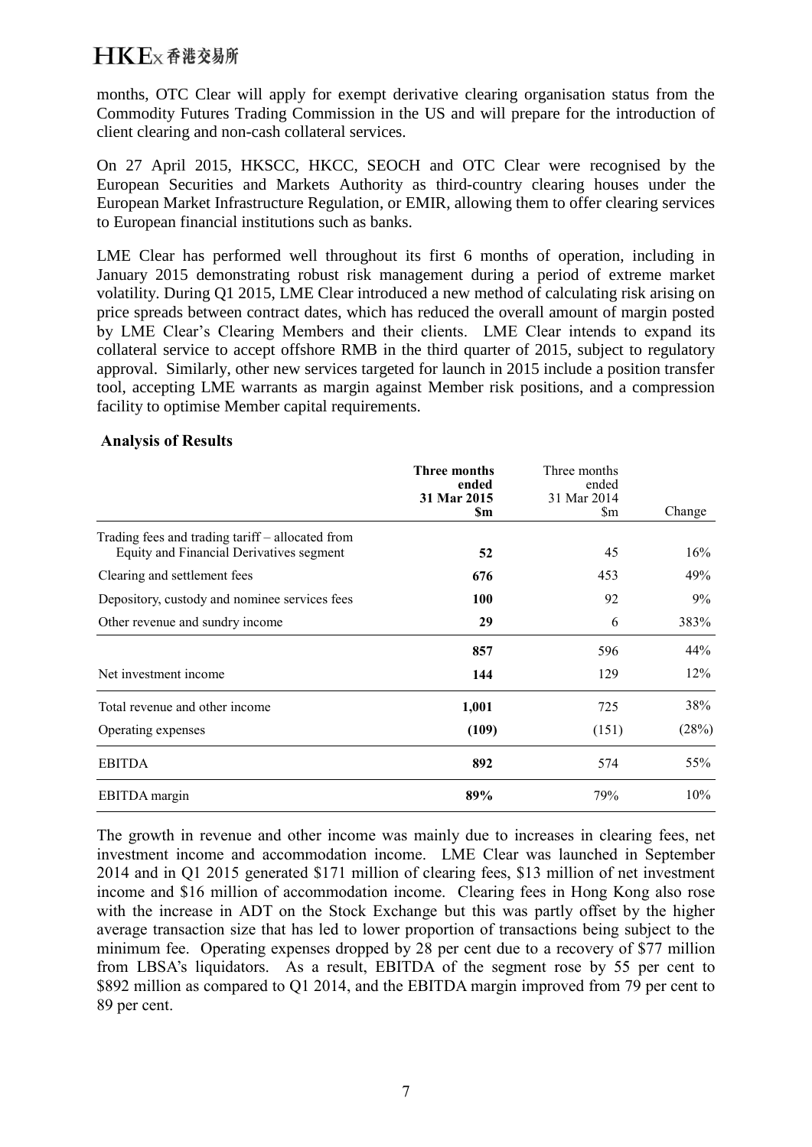months, OTC Clear will apply for exempt derivative clearing organisation status from the Commodity Futures Trading Commission in the US and will prepare for the introduction of client clearing and non-cash collateral services.

On 27 April 2015, HKSCC, HKCC, SEOCH and OTC Clear were recognised by the European Securities and Markets Authority as third-country clearing houses under the European Market Infrastructure Regulation, or EMIR, allowing them to offer clearing services to European financial institutions such as banks.

LME Clear has performed well throughout its first 6 months of operation, including in January 2015 demonstrating robust risk management during a period of extreme market volatility. During Q1 2015, LME Clear introduced a new method of calculating risk arising on price spreads between contract dates, which has reduced the overall amount of margin posted by LME Clear's Clearing Members and their clients. LME Clear intends to expand its collateral service to accept offshore RMB in the third quarter of 2015, subject to regulatory approval. Similarly, other new services targeted for launch in 2015 include a position transfer tool, accepting LME warrants as margin against Member risk positions, and a compression facility to optimise Member capital requirements.

### **Analysis of Results**

|                                                                                              | <b>Three months</b><br>ended<br>31 Mar 2015<br>\$m | Three months<br>ended<br>31 Mar 2014<br>$\mathop{\rm Sm}\nolimits$ | Change |
|----------------------------------------------------------------------------------------------|----------------------------------------------------|--------------------------------------------------------------------|--------|
| Trading fees and trading tariff – allocated from<br>Equity and Financial Derivatives segment | 52                                                 | 45                                                                 | 16%    |
| Clearing and settlement fees                                                                 | 676                                                | 453                                                                | 49%    |
| Depository, custody and nominee services fees                                                | 100                                                | 92                                                                 | 9%     |
| Other revenue and sundry income                                                              | 29                                                 | 6                                                                  | 383%   |
|                                                                                              | 857                                                | 596                                                                | 44%    |
| Net investment income                                                                        | 144                                                | 129                                                                | 12%    |
| Total revenue and other income                                                               | 1,001                                              | 725                                                                | 38%    |
| Operating expenses                                                                           | (109)                                              | (151)                                                              | (28%)  |
| <b>EBITDA</b>                                                                                | 892                                                | 574                                                                | 55%    |
| EBITDA margin                                                                                | 89%                                                | 79%                                                                | 10%    |

The growth in revenue and other income was mainly due to increases in clearing fees, net investment income and accommodation income. LME Clear was launched in September 2014 and in Q1 2015 generated \$171 million of clearing fees, \$13 million of net investment income and \$16 million of accommodation income. Clearing fees in Hong Kong also rose with the increase in ADT on the Stock Exchange but this was partly offset by the higher average transaction size that has led to lower proportion of transactions being subject to the minimum fee. Operating expenses dropped by 28 per cent due to a recovery of \$77 million from LBSA's liquidators. As a result, EBITDA of the segment rose by 55 per cent to \$892 million as compared to Q1 2014, and the EBITDA margin improved from 79 per cent to 89 per cent.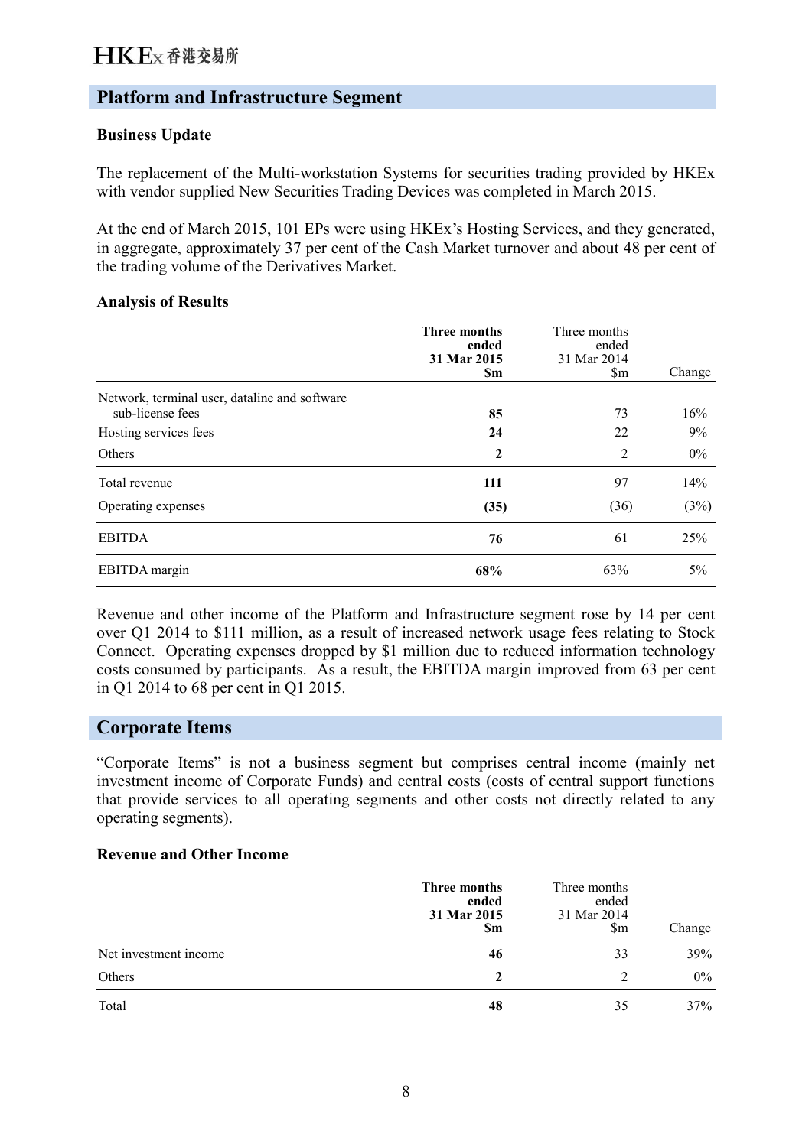# **Platform and Infrastructure Segment**

### **Business Update**

The replacement of the Multi-workstation Systems for securities trading provided by HKEx with vendor supplied New Securities Trading Devices was completed in March 2015.

At the end of March 2015, 101 EPs were using HKEx's Hosting Services, and they generated, in aggregate, approximately 37 per cent of the Cash Market turnover and about 48 per cent of the trading volume of the Derivatives Market.

### **Analysis of Results**

|                                               | <b>Three months</b><br>ended<br>31 Mar 2015<br><b>Sm</b> | Three months<br>ended<br>31 Mar 2014<br>$\mathbf{\S}$ m | Change |
|-----------------------------------------------|----------------------------------------------------------|---------------------------------------------------------|--------|
| Network, terminal user, dataline and software |                                                          |                                                         |        |
| sub-license fees                              | 85                                                       | 73                                                      | 16%    |
| Hosting services fees                         | 24                                                       | 22                                                      | 9%     |
| Others                                        | $\mathbf{2}$                                             | $\overline{2}$                                          | $0\%$  |
| Total revenue                                 | 111                                                      | 97                                                      | 14%    |
| Operating expenses                            | (35)                                                     | (36)                                                    | (3%)   |
| <b>EBITDA</b>                                 | 76                                                       | 61                                                      | 25%    |
| EBITDA margin                                 | 68%                                                      | 63%                                                     | $5\%$  |

Revenue and other income of the Platform and Infrastructure segment rose by 14 per cent over Q1 2014 to \$111 million, as a result of increased network usage fees relating to Stock Connect. Operating expenses dropped by \$1 million due to reduced information technology costs consumed by participants. As a result, the EBITDA margin improved from 63 per cent in Q1 2014 to 68 per cent in Q1 2015.

## **Corporate Items**

"Corporate Items" is not a business segment but comprises central income (mainly net investment income of Corporate Funds) and central costs (costs of central support functions that provide services to all operating segments and other costs not directly related to any operating segments).

#### **Revenue and Other Income**

|                       | Three months<br>ended<br>31 Mar 2015<br>\$m | Three months<br>ended<br>31 Mar 2014<br>$\mathop{\mathrm{Sm}}$ | Change |
|-----------------------|---------------------------------------------|----------------------------------------------------------------|--------|
| Net investment income | 46                                          | 33                                                             | 39%    |
| Others                | $\mathbf 2$                                 | 2                                                              | $0\%$  |
| Total                 | 48                                          | 35                                                             | 37%    |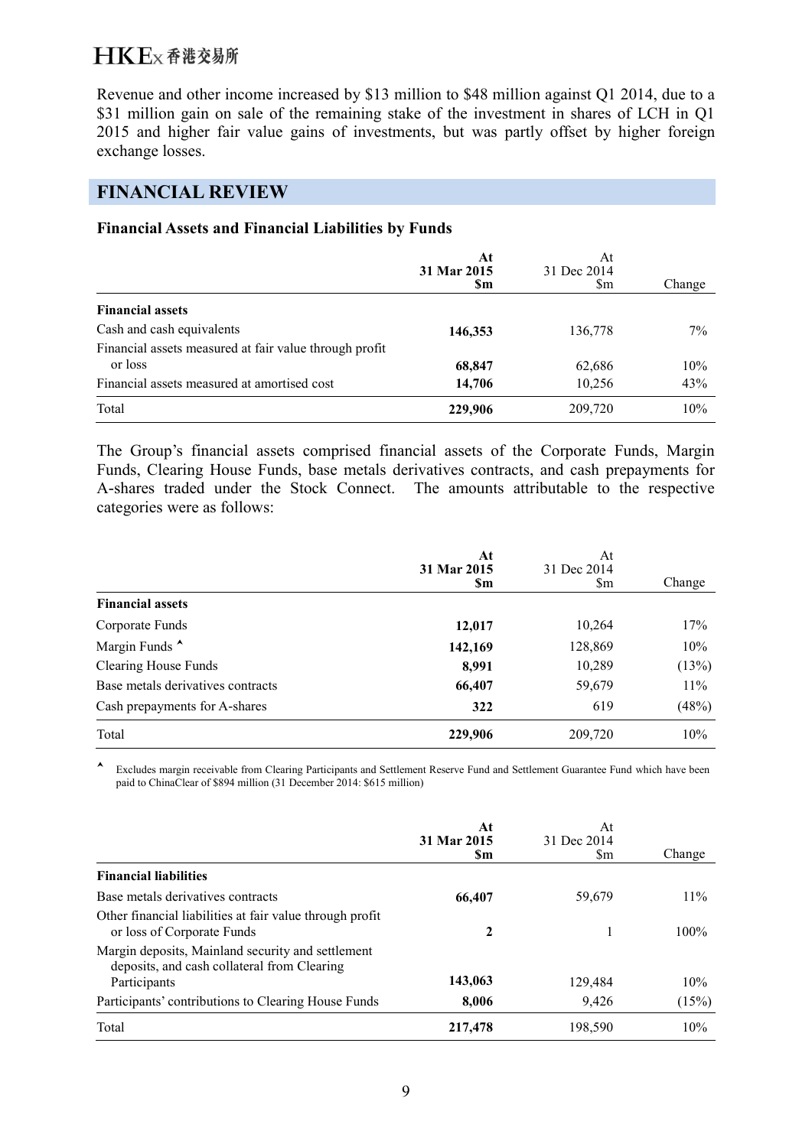Revenue and other income increased by \$13 million to \$48 million against Q1 2014, due to a \$31 million gain on sale of the remaining stake of the investment in shares of LCH in Q1 2015 and higher fair value gains of investments, but was partly offset by higher foreign exchange losses.

# **FINANCIAL REVIEW**

### **Financial Assets and Financial Liabilities by Funds**

|                                                        | At<br>31 Mar 2015<br><b>Sm</b> | At<br>31 Dec 2014<br>Sm | Change |
|--------------------------------------------------------|--------------------------------|-------------------------|--------|
| <b>Financial assets</b>                                |                                |                         |        |
| Cash and cash equivalents                              | 146,353                        | 136,778                 | $7\%$  |
| Financial assets measured at fair value through profit |                                |                         |        |
| or loss                                                | 68,847                         | 62,686                  | 10%    |
| Financial assets measured at amortised cost            | 14,706                         | 10,256                  | 43%    |
| Total                                                  | 229,906                        | 209,720                 | 10%    |

The Group's financial assets comprised financial assets of the Corporate Funds, Margin Funds, Clearing House Funds, base metals derivatives contracts, and cash prepayments for A-shares traded under the Stock Connect. The amounts attributable to the respective categories were as follows:

|                                   | At<br>31 Mar 2015<br><b>Sm</b> | At<br>31 Dec 2014<br>Sm | Change |
|-----------------------------------|--------------------------------|-------------------------|--------|
| <b>Financial assets</b>           |                                |                         |        |
| Corporate Funds                   | 12,017                         | 10,264                  | 17%    |
| Margin Funds <sup>1</sup>         | 142,169                        | 128,869                 | 10%    |
| <b>Clearing House Funds</b>       | 8,991                          | 10,289                  | (13%)  |
| Base metals derivatives contracts | 66,407                         | 59,679                  | 11%    |
| Cash prepayments for A-shares     | 322                            | 619                     | (48%)  |
| Total                             | 229,906                        | 209,720                 | 10%    |

 Excludes margin receivable from Clearing Participants and Settlement Reserve Fund and Settlement Guarantee Fund which have been paid to ChinaClear of \$894 million (31 December 2014: \$615 million)

|                                                                                                  | At<br>31 Mar 2015 | At<br>31 Dec 2014 |        |
|--------------------------------------------------------------------------------------------------|-------------------|-------------------|--------|
|                                                                                                  | Sm                | \$m               | Change |
| <b>Financial liabilities</b>                                                                     |                   |                   |        |
| Base metals derivatives contracts                                                                | 66,407            | 59,679            | 11%    |
| Other financial liabilities at fair value through profit<br>or loss of Corporate Funds           | 2                 |                   | 100%   |
| Margin deposits, Mainland security and settlement<br>deposits, and cash collateral from Clearing |                   |                   |        |
| Participants                                                                                     | 143,063           | 129,484           | 10%    |
| Participants' contributions to Clearing House Funds                                              | 8,006             | 9,426             | (15%)  |
| Total                                                                                            | 217,478           | 198,590           | 10%    |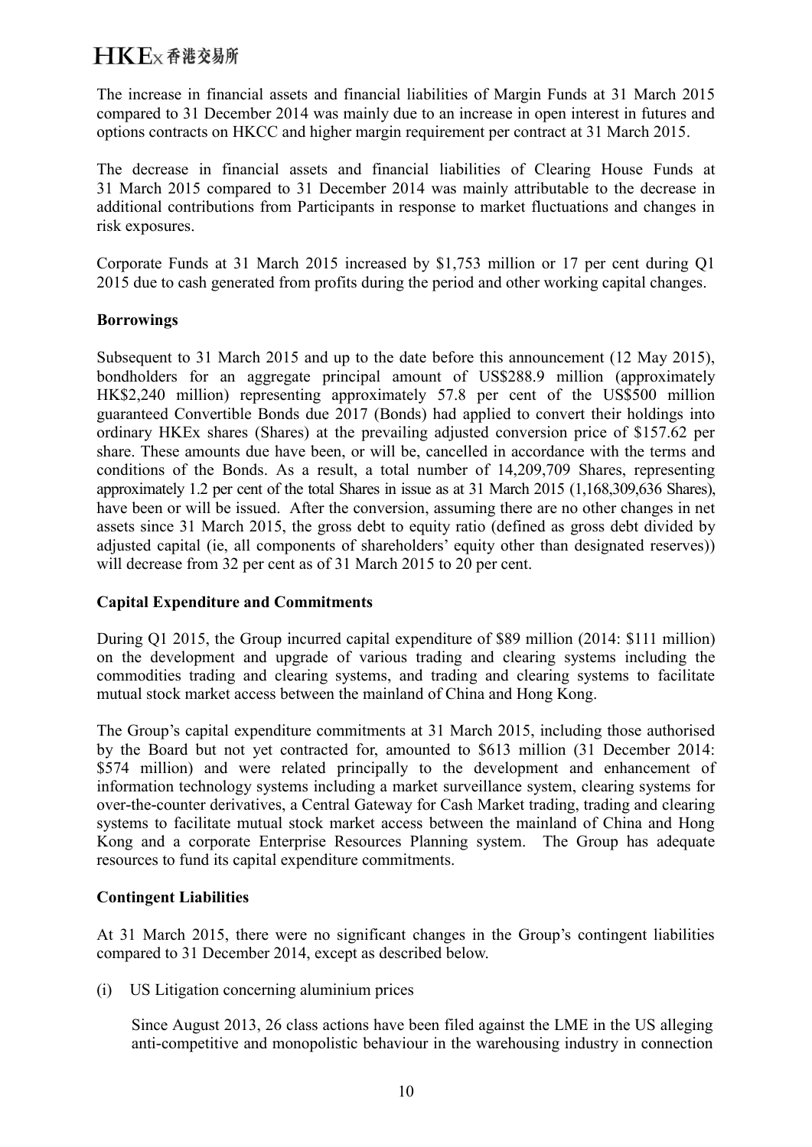The increase in financial assets and financial liabilities of Margin Funds at 31 March 2015 compared to 31 December 2014 was mainly due to an increase in open interest in futures and options contracts on HKCC and higher margin requirement per contract at 31 March 2015.

The decrease in financial assets and financial liabilities of Clearing House Funds at 31 March 2015 compared to 31 December 2014 was mainly attributable to the decrease in additional contributions from Participants in response to market fluctuations and changes in risk exposures.

Corporate Funds at 31 March 2015 increased by \$1,753 million or 17 per cent during Q1 2015 due to cash generated from profits during the period and other working capital changes.

### **Borrowings**

Subsequent to 31 March 2015 and up to the date before this announcement (12 May 2015), bondholders for an aggregate principal amount of US\$288.9 million (approximately HK\$2,240 million) representing approximately 57.8 per cent of the US\$500 million guaranteed Convertible Bonds due 2017 (Bonds) had applied to convert their holdings into ordinary HKEx shares (Shares) at the prevailing adjusted conversion price of \$157.62 per share. These amounts due have been, or will be, cancelled in accordance with the terms and conditions of the Bonds. As a result, a total number of 14,209,709 Shares, representing approximately 1.2 per cent of the total Shares in issue as at 31 March 2015 (1,168,309,636 Shares), have been or will be issued. After the conversion, assuming there are no other changes in net assets since 31 March 2015, the gross debt to equity ratio (defined as gross debt divided by adjusted capital (ie, all components of shareholders' equity other than designated reserves)) will decrease from 32 per cent as of 31 March 2015 to 20 per cent.

### **Capital Expenditure and Commitments**

During Q1 2015, the Group incurred capital expenditure of \$89 million (2014: \$111 million) on the development and upgrade of various trading and clearing systems including the commodities trading and clearing systems, and trading and clearing systems to facilitate mutual stock market access between the mainland of China and Hong Kong.

The Group's capital expenditure commitments at 31 March 2015, including those authorised by the Board but not yet contracted for, amounted to \$613 million (31 December 2014: \$574 million) and were related principally to the development and enhancement of information technology systems including a market surveillance system, clearing systems for over-the-counter derivatives, a Central Gateway for Cash Market trading, trading and clearing systems to facilitate mutual stock market access between the mainland of China and Hong Kong and a corporate Enterprise Resources Planning system. The Group has adequate resources to fund its capital expenditure commitments.

### **Contingent Liabilities**

At 31 March 2015, there were no significant changes in the Group's contingent liabilities compared to 31 December 2014, except as described below.

(i) US Litigation concerning aluminium prices

Since August 2013, 26 class actions have been filed against the LME in the US alleging anti-competitive and monopolistic behaviour in the warehousing industry in connection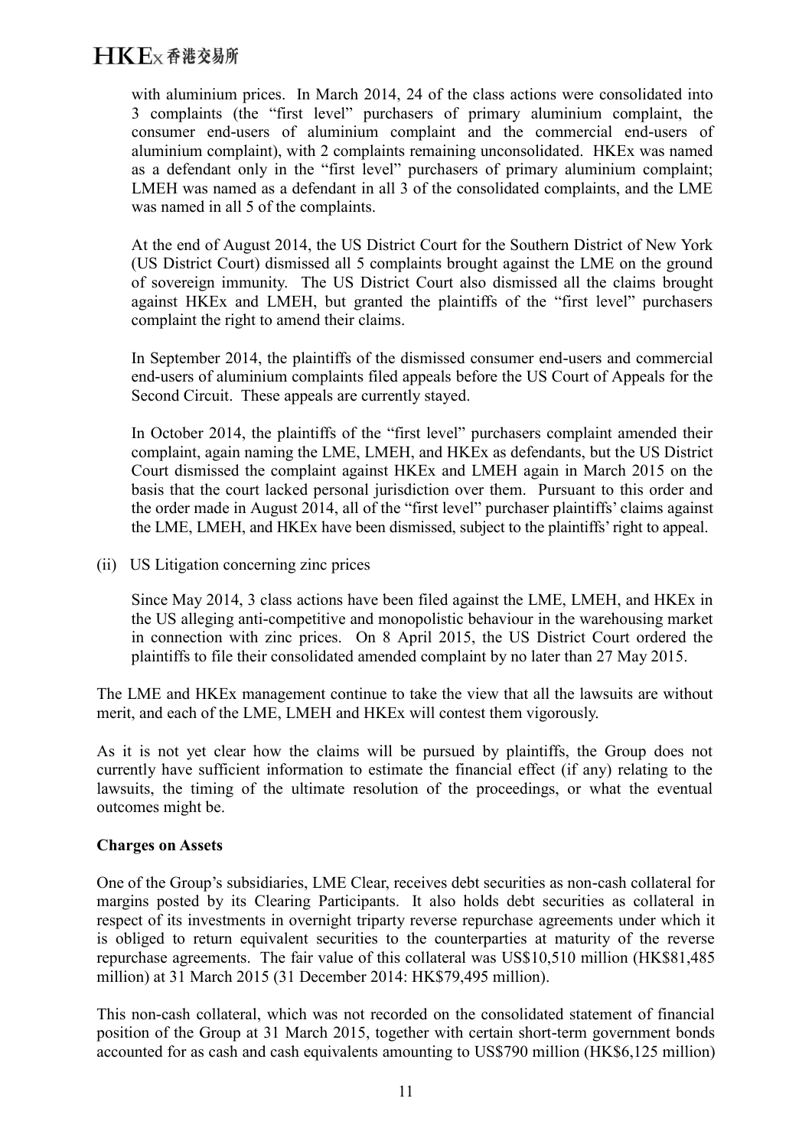with aluminium prices. In March 2014, 24 of the class actions were consolidated into 3 complaints (the "first level" purchasers of primary aluminium complaint, the consumer end-users of aluminium complaint and the commercial end-users of aluminium complaint), with 2 complaints remaining unconsolidated. HKEx was named as a defendant only in the "first level" purchasers of primary aluminium complaint; LMEH was named as a defendant in all 3 of the consolidated complaints, and the LME was named in all 5 of the complaints.

At the end of August 2014, the US District Court for the Southern District of New York (US District Court) dismissed all 5 complaints brought against the LME on the ground of sovereign immunity. The US District Court also dismissed all the claims brought against HKEx and LMEH, but granted the plaintiffs of the "first level" purchasers complaint the right to amend their claims.

In September 2014, the plaintiffs of the dismissed consumer end-users and commercial end-users of aluminium complaints filed appeals before the US Court of Appeals for the Second Circuit. These appeals are currently stayed.

In October 2014, the plaintiffs of the "first level" purchasers complaint amended their complaint, again naming the LME, LMEH, and HKEx as defendants, but the US District Court dismissed the complaint against HKEx and LMEH again in March 2015 on the basis that the court lacked personal jurisdiction over them. Pursuant to this order and the order made in August 2014, all of the "first level" purchaser plaintiffs' claims against the LME, LMEH, and HKEx have been dismissed, subject to the plaintiffs' right to appeal.

(ii) US Litigation concerning zinc prices

Since May 2014, 3 class actions have been filed against the LME, LMEH, and HKEx in the US alleging anti-competitive and monopolistic behaviour in the warehousing market in connection with zinc prices. On 8 April 2015, the US District Court ordered the plaintiffs to file their consolidated amended complaint by no later than 27 May 2015.

The LME and HKEx management continue to take the view that all the lawsuits are without merit, and each of the LME, LMEH and HKEx will contest them vigorously.

As it is not yet clear how the claims will be pursued by plaintiffs, the Group does not currently have sufficient information to estimate the financial effect (if any) relating to the lawsuits, the timing of the ultimate resolution of the proceedings, or what the eventual outcomes might be.

### **Charges on Assets**

One of the Group's subsidiaries, LME Clear, receives debt securities as non-cash collateral for margins posted by its Clearing Participants. It also holds debt securities as collateral in respect of its investments in overnight triparty reverse repurchase agreements under which it is obliged to return equivalent securities to the counterparties at maturity of the reverse repurchase agreements. The fair value of this collateral was US\$10,510 million (HK\$81,485 million) at 31 March 2015 (31 December 2014: HK\$79,495 million).

This non-cash collateral, which was not recorded on the consolidated statement of financial position of the Group at 31 March 2015, together with certain short-term government bonds accounted for as cash and cash equivalents amounting to US\$790 million (HK\$6,125 million)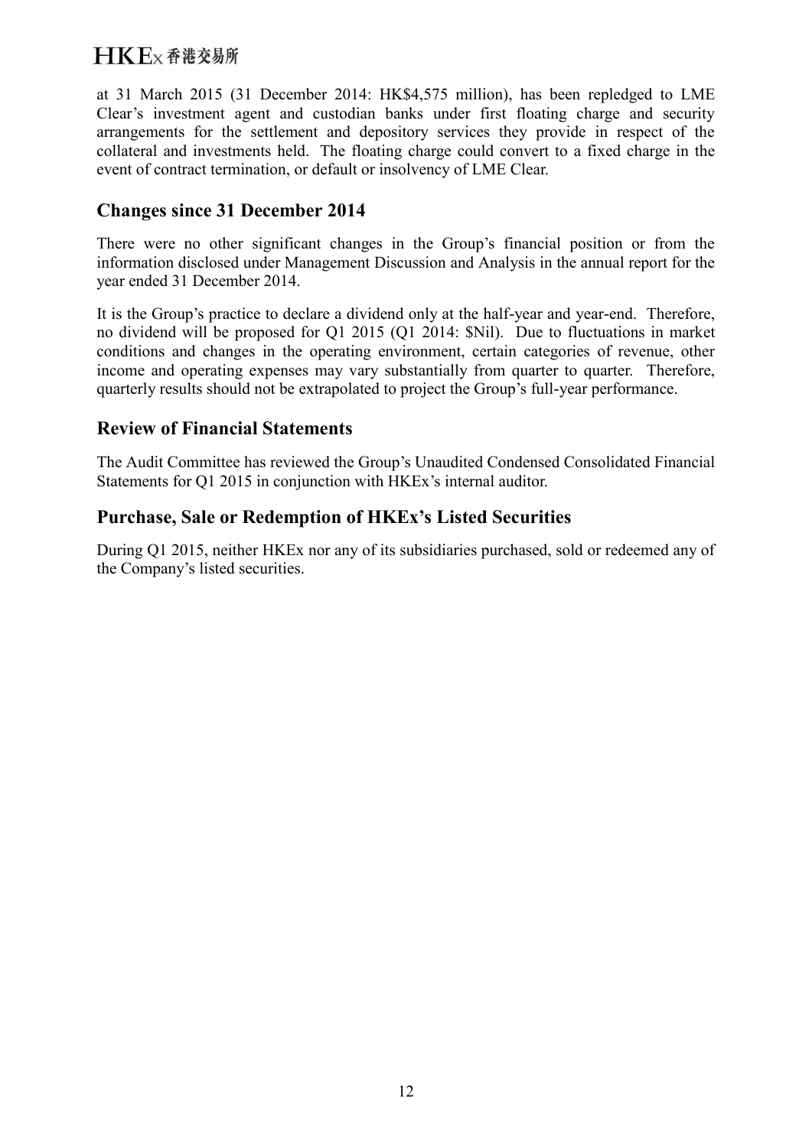# $H K F_X$   $\Phi$  港 交易所

at 31 March 2015 (31 December 2014: HK\$4,575 million), has been repledged to LME Clear's investment agent and custodian banks under first floating charge and security arrangements for the settlement and depository services they provide in respect of the collateral and investments held. The floating charge could convert to a fixed charge in the event of contract termination, or default or insolvency of LME Clear.

# **Changes since 31 December 2014**

There were no other significant changes in the Group's financial position or from the information disclosed under Management Discussion and Analysis in the annual report for the year ended 31 December 2014.

It is the Group's practice to declare a dividend only at the half-year and year-end. Therefore, no dividend will be proposed for Q1 2015 (Q1 2014: \$Nil). Due to fluctuations in market conditions and changes in the operating environment, certain categories of revenue, other income and operating expenses may vary substantially from quarter to quarter. Therefore, quarterly results should not be extrapolated to project the Group's full-year performance.

# **Review of Financial Statements**

The Audit Committee has reviewed the Group's Unaudited Condensed Consolidated Financial Statements for Q1 2015 in conjunction with HKEx's internal auditor.

# **Purchase, Sale or Redemption of HKEx's Listed Securities**

During Q1 2015, neither HKEx nor any of its subsidiaries purchased, sold or redeemed any of the Company's listed securities.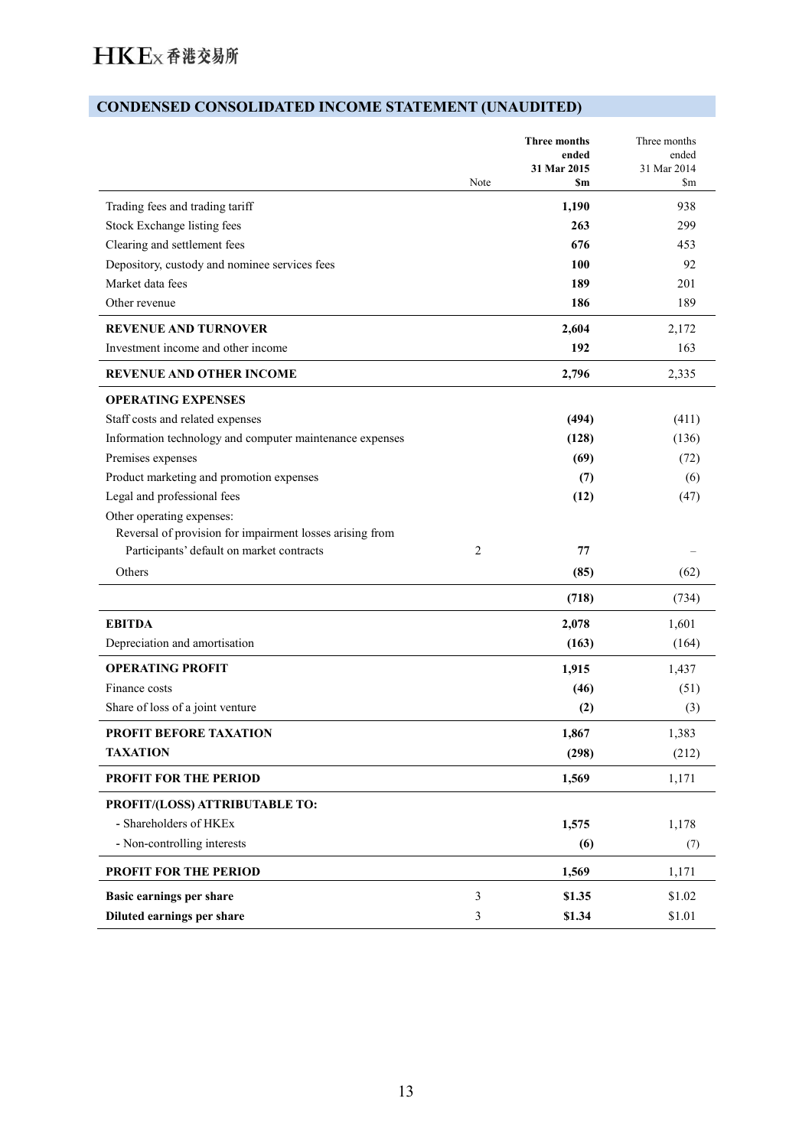# **CONDENSED CONSOLIDATED INCOME STATEMENT (UNAUDITED)**

|                                                          | Note           | Three months<br>ended<br>31 Mar 2015<br>\$m | Three months<br>ended<br>31 Mar 2014<br>\$m |
|----------------------------------------------------------|----------------|---------------------------------------------|---------------------------------------------|
| Trading fees and trading tariff                          |                | 1,190                                       | 938                                         |
| Stock Exchange listing fees                              |                | 263                                         | 299                                         |
| Clearing and settlement fees                             |                | 676                                         | 453                                         |
| Depository, custody and nominee services fees            |                | 100                                         | 92                                          |
| Market data fees                                         |                | 189                                         | 201                                         |
| Other revenue                                            |                | 186                                         | 189                                         |
| <b>REVENUE AND TURNOVER</b>                              |                | 2,604                                       | 2,172                                       |
| Investment income and other income                       |                | 192                                         | 163                                         |
| <b>REVENUE AND OTHER INCOME</b>                          |                | 2,796                                       | 2,335                                       |
| <b>OPERATING EXPENSES</b>                                |                |                                             |                                             |
| Staff costs and related expenses                         |                | (494)                                       | (411)                                       |
| Information technology and computer maintenance expenses |                | (128)                                       | (136)                                       |
| Premises expenses                                        |                | (69)                                        | (72)                                        |
| Product marketing and promotion expenses                 |                | (7)                                         | (6)                                         |
| Legal and professional fees                              |                | (12)                                        | (47)                                        |
| Other operating expenses:                                |                |                                             |                                             |
| Reversal of provision for impairment losses arising from |                |                                             |                                             |
| Participants' default on market contracts                | $\overline{c}$ | 77                                          |                                             |
| Others                                                   |                | (85)                                        | (62)                                        |
|                                                          |                | (718)                                       | (734)                                       |
| <b>EBITDA</b>                                            |                | 2,078                                       | 1,601                                       |
| Depreciation and amortisation                            |                | (163)                                       | (164)                                       |
| <b>OPERATING PROFIT</b>                                  |                | 1,915                                       | 1,437                                       |
| Finance costs                                            |                | (46)                                        | (51)                                        |
| Share of loss of a joint venture                         |                | (2)                                         | (3)                                         |
| <b>PROFIT BEFORE TAXATION</b>                            |                | 1,867                                       | 1,383                                       |
| <b>TAXATION</b>                                          |                | (298)                                       | (212)                                       |
| <b>PROFIT FOR THE PERIOD</b>                             |                | 1,569                                       | 1,171                                       |
| PROFIT/(LOSS) ATTRIBUTABLE TO:                           |                |                                             |                                             |
| - Shareholders of HKEx                                   |                | 1,575                                       | 1,178                                       |
| - Non-controlling interests                              |                | (6)                                         | (7)                                         |
| <b>PROFIT FOR THE PERIOD</b>                             |                | 1,569                                       | 1,171                                       |
| Basic earnings per share                                 | 3              | \$1.35                                      | \$1.02                                      |
| Diluted earnings per share                               | 3              | \$1.34                                      | \$1.01                                      |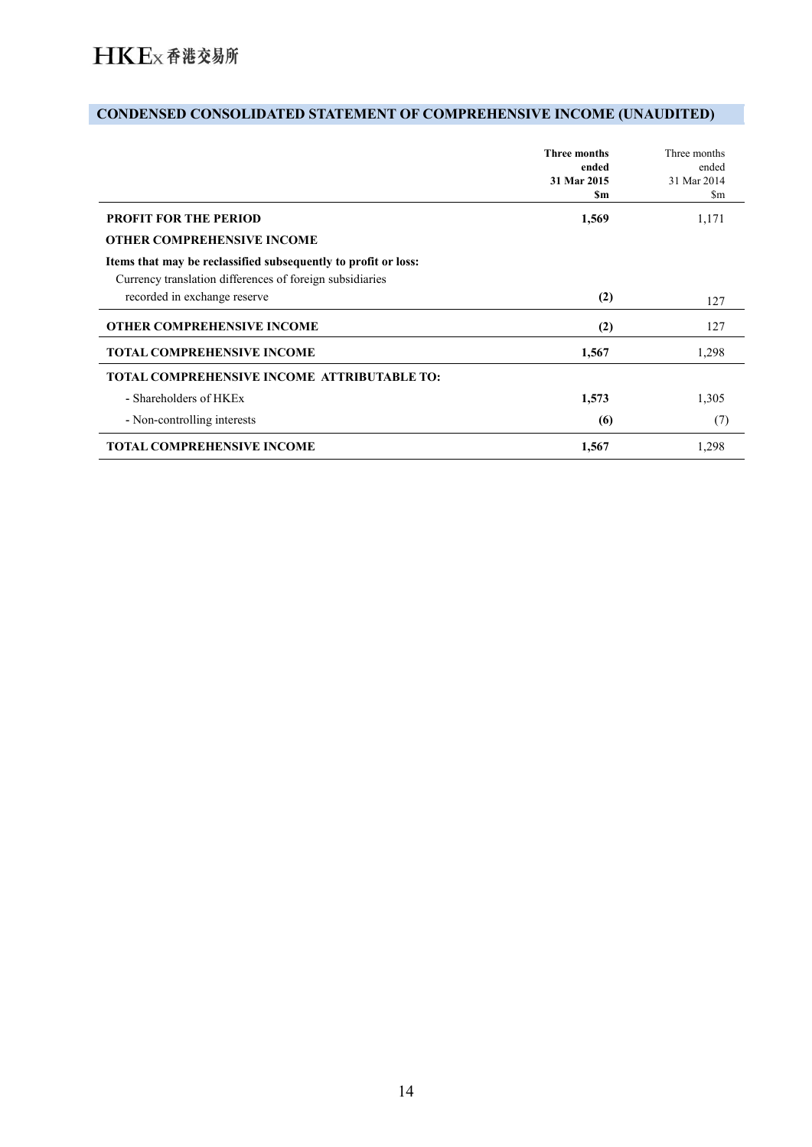# **CONDENSED CONSOLIDATED STATEMENT OF COMPREHENSIVE INCOME (UNAUDITED)**

|                                                                                                                            | <b>Three months</b><br>ended<br>31 Mar 2015<br>Sm | Three months<br>ended<br>31 Mar 2014<br>$\mathop{\rm Sm}\nolimits$ |
|----------------------------------------------------------------------------------------------------------------------------|---------------------------------------------------|--------------------------------------------------------------------|
| <b>PROFIT FOR THE PERIOD</b>                                                                                               | 1,569                                             | 1,171                                                              |
| <b>OTHER COMPREHENSIVE INCOME</b>                                                                                          |                                                   |                                                                    |
| Items that may be reclassified subsequently to profit or loss:<br>Currency translation differences of foreign subsidiaries |                                                   |                                                                    |
| recorded in exchange reserve                                                                                               | (2)                                               | 127                                                                |
| <b>OTHER COMPREHENSIVE INCOME</b>                                                                                          | (2)                                               | 127                                                                |
| <b>TOTAL COMPREHENSIVE INCOME</b>                                                                                          | 1,567                                             | 1,298                                                              |
| <b>TOTAL COMPREHENSIVE INCOME ATTRIBUTABLE TO:</b>                                                                         |                                                   |                                                                    |
| - Shareholders of HKEx                                                                                                     | 1,573                                             | 1,305                                                              |
| - Non-controlling interests                                                                                                | (6)                                               | (7)                                                                |
| <b>TOTAL COMPREHENSIVE INCOME</b>                                                                                          | 1,567                                             | 1,298                                                              |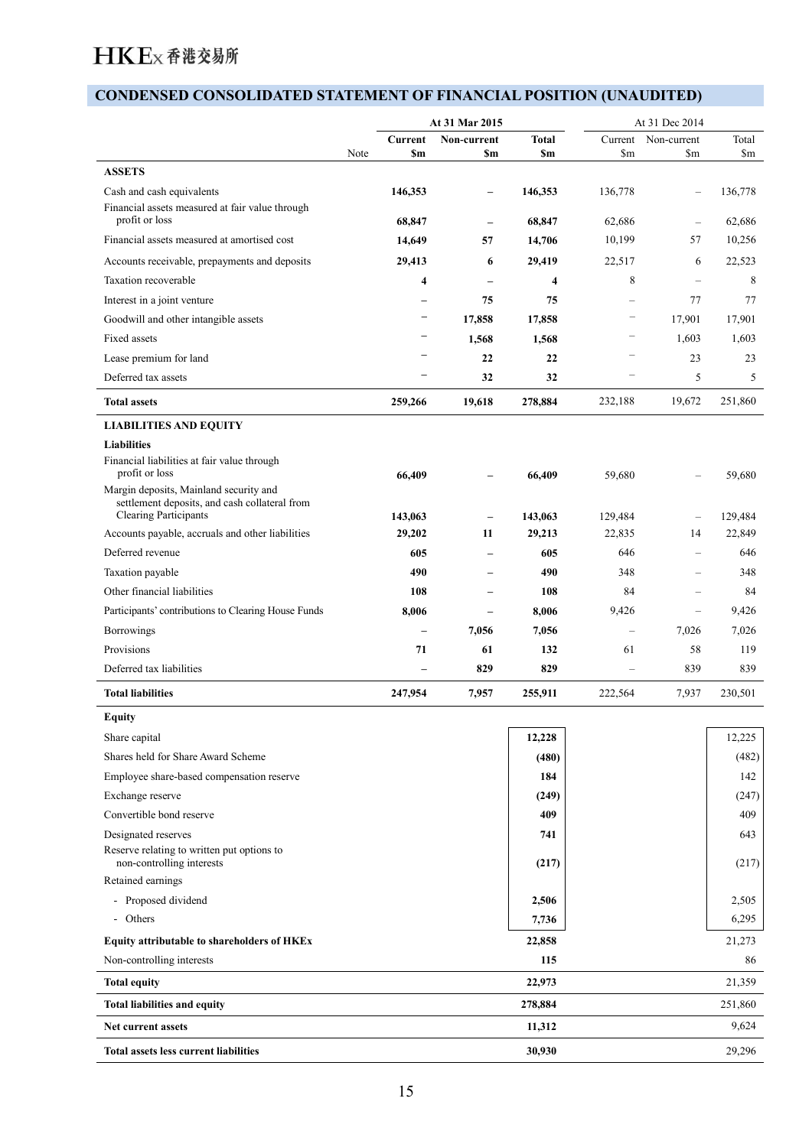# **CONDENSED CONSOLIDATED STATEMENT OF FINANCIAL POSITION (UNAUDITED)**

|                                                                         |                        | At 31 Mar 2015                                      |                           | At 31 Dec 2014           |                                      |                        |
|-------------------------------------------------------------------------|------------------------|-----------------------------------------------------|---------------------------|--------------------------|--------------------------------------|------------------------|
|                                                                         | Current<br>Note<br>\$m | Non-current<br><b>Sm</b>                            | <b>Total</b><br><b>Sm</b> | $\mathbf{Sm}$            | Current Non-current<br>$\mathbf{Sm}$ | Total<br>$\mathbf{Sm}$ |
| <b>ASSETS</b>                                                           |                        |                                                     |                           |                          |                                      |                        |
| Cash and cash equivalents                                               | 146,353                | $\overline{\phantom{a}}$                            | 146,353                   | 136,778                  | $\overline{\phantom{m}}$             | 136,778                |
| Financial assets measured at fair value through                         |                        |                                                     |                           |                          |                                      |                        |
| profit or loss                                                          | 68,847                 | $\overline{\phantom{m}}$                            | 68,847                    | 62,686                   | $\overline{\phantom{m}}$             | 62,686                 |
| Financial assets measured at amortised cost                             | 14,649                 | 57                                                  | 14,706                    | 10,199                   | 57                                   | 10,256                 |
| Accounts receivable, prepayments and deposits                           | 29,413                 | 6                                                   | 29,419                    | 22,517                   | 6                                    | 22,523                 |
| Taxation recoverable                                                    |                        | $\overline{\mathbf{4}}$<br>$\overline{\phantom{m}}$ | $\overline{4}$            | 8                        | $\overline{\phantom{m}}$             | 8                      |
| Interest in a joint venture                                             |                        | 75<br>$\overline{\phantom{0}}$                      | 75                        | $\overline{\phantom{m}}$ | 77                                   | 77                     |
| Goodwill and other intangible assets                                    |                        | $\overline{\phantom{a}}$<br>17,858                  | 17,858                    | $\overline{\phantom{a}}$ | 17,901                               | 17,901                 |
| Fixed assets                                                            |                        | $\qquad \qquad$<br>1,568                            | 1,568                     | $\overline{\phantom{m}}$ | 1,603                                | 1,603                  |
| Lease premium for land                                                  |                        | 22                                                  | 22                        | $\overline{\phantom{a}}$ | 23                                   | 23                     |
| Deferred tax assets                                                     |                        | ۰<br>32                                             | 32                        | $\overline{\phantom{a}}$ | 5                                    | 5                      |
| <b>Total assets</b>                                                     | 259,266                | 19,618                                              | 278,884                   | 232,188                  | 19,672                               | 251,860                |
|                                                                         |                        |                                                     |                           |                          |                                      |                        |
| <b>LIABILITIES AND EQUITY</b>                                           |                        |                                                     |                           |                          |                                      |                        |
| <b>Liabilities</b><br>Financial liabilities at fair value through       |                        |                                                     |                           |                          |                                      |                        |
| profit or loss                                                          | 66,409                 |                                                     | 66,409                    | 59,680                   |                                      | 59,680                 |
| Margin deposits, Mainland security and                                  |                        |                                                     |                           |                          |                                      |                        |
| settlement deposits, and cash collateral from<br>Clearing Participants  |                        |                                                     | 143,063                   | 129,484                  |                                      | 129,484                |
| Accounts payable, accruals and other liabilities                        | 143,063<br>29,202      | $\overline{\phantom{m}}$<br>11                      | 29,213                    | 22,835                   | $\overline{\phantom{m}}$<br>14       | 22,849                 |
| Deferred revenue                                                        | 605                    | $\overline{\phantom{a}}$                            | 605                       | 646                      | $\overline{\phantom{a}}$             | 646                    |
| Taxation payable                                                        | 490                    | $\overline{\phantom{m}}$                            | 490                       | 348                      | $\overline{\phantom{a}}$             | 348                    |
| Other financial liabilities                                             |                        |                                                     |                           | 84                       |                                      | 84                     |
|                                                                         | 108                    | $\overline{\phantom{m}}$                            | 108                       |                          | $\overline{\phantom{m}}$             |                        |
| Participants' contributions to Clearing House Funds                     | 8,006                  | $\overline{\phantom{m}}$                            | 8,006                     | 9,426                    | $\overline{\phantom{m}}$             | 9,426                  |
| Borrowings                                                              |                        | 7,056<br>$\overline{\phantom{m}}$                   | 7,056                     | $\overline{\phantom{m}}$ | 7,026                                | 7,026                  |
| Provisions                                                              | 71                     | 61                                                  | 132                       | 61                       | 58                                   | 119                    |
| Deferred tax liabilities                                                |                        | 829<br>$\overline{\phantom{m}}$                     | 829                       | $\overline{\phantom{a}}$ | 839                                  | 839                    |
| <b>Total liabilities</b>                                                | 247,954                | 7,957                                               | 255,911                   | 222,564                  | 7,937                                | 230,501                |
| <b>Equity</b>                                                           |                        |                                                     |                           |                          |                                      |                        |
| Share capital                                                           |                        |                                                     | 12,228                    |                          |                                      | 12,225                 |
| Shares held for Share Award Scheme                                      |                        |                                                     | (480)                     |                          |                                      | (482)                  |
| Employee share-based compensation reserve                               |                        |                                                     | 184                       |                          |                                      | 142                    |
| Exchange reserve                                                        |                        |                                                     | (249)                     |                          |                                      | (247)                  |
| Convertible bond reserve                                                |                        |                                                     | 409                       |                          |                                      | 409                    |
| Designated reserves                                                     |                        |                                                     | 741                       |                          |                                      | 643                    |
| Reserve relating to written put options to<br>non-controlling interests |                        |                                                     | (217)                     |                          |                                      | (217)                  |
| Retained earnings                                                       |                        |                                                     |                           |                          |                                      |                        |
| - Proposed dividend                                                     |                        |                                                     | 2,506                     |                          |                                      | 2,505                  |
| - Others                                                                |                        |                                                     | 7,736                     |                          |                                      | 6,295                  |
|                                                                         |                        |                                                     |                           |                          |                                      | 21,273                 |
| Equity attributable to shareholders of HKEx                             |                        |                                                     | 22,858                    |                          |                                      |                        |
| Non-controlling interests                                               |                        |                                                     | 115                       |                          |                                      | 86                     |
| <b>Total equity</b>                                                     |                        |                                                     | 22,973                    |                          |                                      | 21,359                 |
| <b>Total liabilities and equity</b>                                     |                        |                                                     | 278,884                   |                          |                                      | 251,860                |
| Net current assets                                                      |                        |                                                     | 11,312                    |                          |                                      | 9,624                  |
| Total assets less current liabilities                                   |                        |                                                     | 30,930                    |                          |                                      | 29,296                 |
|                                                                         |                        |                                                     |                           |                          |                                      |                        |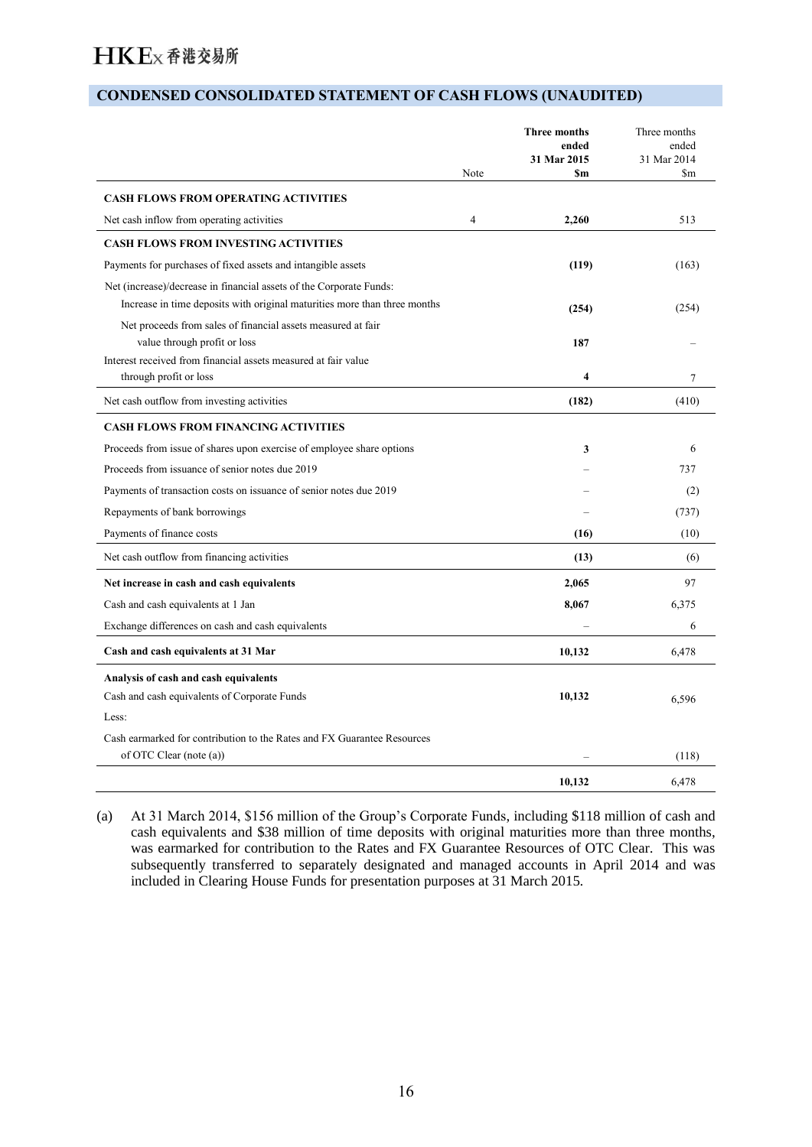#### **CONDENSED CONSOLIDATED STATEMENT OF CASH FLOWS (UNAUDITED)**

|                                                                                                                                                  | Note | <b>Three months</b><br>ended<br>31 Mar 2015<br><b>Sm</b> | Three months<br>ended<br>31 Mar 2014<br>$\mathbf{Sm}$ |
|--------------------------------------------------------------------------------------------------------------------------------------------------|------|----------------------------------------------------------|-------------------------------------------------------|
| <b>CASH FLOWS FROM OPERATING ACTIVITIES</b>                                                                                                      |      |                                                          |                                                       |
| Net cash inflow from operating activities                                                                                                        | 4    | 2,260                                                    | 513                                                   |
| <b>CASH FLOWS FROM INVESTING ACTIVITIES</b>                                                                                                      |      |                                                          |                                                       |
| Payments for purchases of fixed assets and intangible assets                                                                                     |      | (119)                                                    | (163)                                                 |
| Net (increase)/decrease in financial assets of the Corporate Funds:<br>Increase in time deposits with original maturities more than three months |      | (254)                                                    | (254)                                                 |
| Net proceeds from sales of financial assets measured at fair                                                                                     |      |                                                          |                                                       |
| value through profit or loss                                                                                                                     |      | 187                                                      |                                                       |
| Interest received from financial assets measured at fair value                                                                                   |      |                                                          |                                                       |
| through profit or loss                                                                                                                           |      | 4                                                        | $\overline{7}$                                        |
| Net cash outflow from investing activities                                                                                                       |      | (182)                                                    | (410)                                                 |
| <b>CASH FLOWS FROM FINANCING ACTIVITIES</b>                                                                                                      |      |                                                          |                                                       |
| Proceeds from issue of shares upon exercise of employee share options                                                                            |      | 3                                                        | 6                                                     |
| Proceeds from issuance of senior notes due 2019                                                                                                  |      |                                                          | 737                                                   |
| Payments of transaction costs on issuance of senior notes due 2019                                                                               |      |                                                          | (2)                                                   |
| Repayments of bank borrowings                                                                                                                    |      |                                                          | (737)                                                 |
| Payments of finance costs                                                                                                                        |      | (16)                                                     | (10)                                                  |
| Net cash outflow from financing activities                                                                                                       |      | (13)                                                     | (6)                                                   |
| Net increase in cash and cash equivalents                                                                                                        |      | 2,065                                                    | 97                                                    |
| Cash and cash equivalents at 1 Jan                                                                                                               |      | 8,067                                                    | 6,375                                                 |
| Exchange differences on cash and cash equivalents                                                                                                |      |                                                          | 6                                                     |
| Cash and cash equivalents at 31 Mar                                                                                                              |      | 10,132                                                   | 6,478                                                 |
| Analysis of cash and cash equivalents                                                                                                            |      |                                                          |                                                       |
| Cash and cash equivalents of Corporate Funds                                                                                                     |      | 10,132                                                   | 6,596                                                 |
| Less:                                                                                                                                            |      |                                                          |                                                       |
| Cash earmarked for contribution to the Rates and FX Guarantee Resources<br>of OTC Clear (note (a))                                               |      |                                                          | (118)                                                 |
|                                                                                                                                                  |      | 10,132                                                   | 6,478                                                 |

(a) At 31 March 2014, \$156 million of the Group's Corporate Funds, including \$118 million of cash and cash equivalents and \$38 million of time deposits with original maturities more than three months, was earmarked for contribution to the Rates and FX Guarantee Resources of OTC Clear. This was subsequently transferred to separately designated and managed accounts in April 2014 and was included in Clearing House Funds for presentation purposes at 31 March 2015.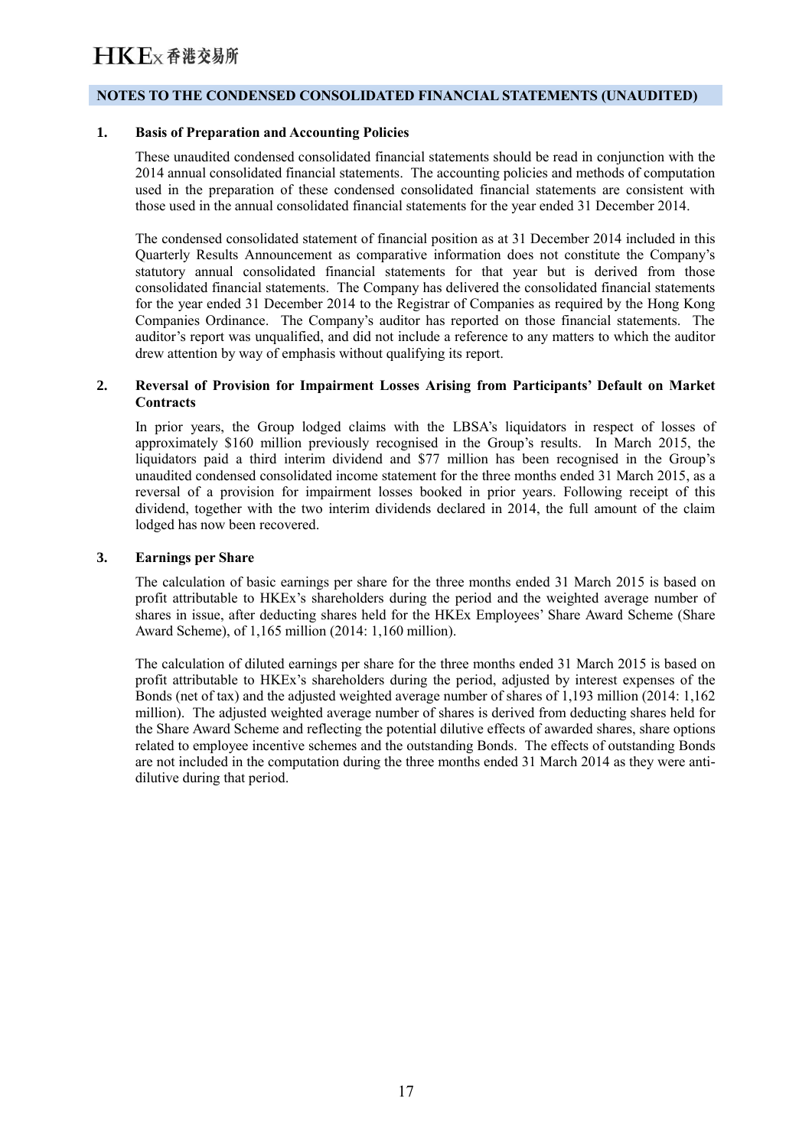#### **NOTES TO THE CONDENSED CONSOLIDATED FINANCIAL STATEMENTS (UNAUDITED)**

#### **1. Basis of Preparation and Accounting Policies**

These unaudited condensed consolidated financial statements should be read in conjunction with the 2014 annual consolidated financial statements. The accounting policies and methods of computation used in the preparation of these condensed consolidated financial statements are consistent with those used in the annual consolidated financial statements for the year ended 31 December 2014.

The condensed consolidated statement of financial position as at 31 December 2014 included in this Quarterly Results Announcement as comparative information does not constitute the Company's statutory annual consolidated financial statements for that year but is derived from those consolidated financial statements. The Company has delivered the consolidated financial statements for the year ended 31 December 2014 to the Registrar of Companies as required by the Hong Kong Companies Ordinance. The Company's auditor has reported on those financial statements. The auditor's report was unqualified, and did not include a reference to any matters to which the auditor drew attention by way of emphasis without qualifying its report.

#### **2. Reversal of Provision for Impairment Losses Arising from Participants' Default on Market Contracts**

In prior years, the Group lodged claims with the LBSA's liquidators in respect of losses of approximately \$160 million previously recognised in the Group's results. In March 2015, the liquidators paid a third interim dividend and \$77 million has been recognised in the Group's unaudited condensed consolidated income statement for the three months ended 31 March 2015, as a reversal of a provision for impairment losses booked in prior years. Following receipt of this dividend, together with the two interim dividends declared in 2014, the full amount of the claim lodged has now been recovered.

#### **3. Earnings per Share**

The calculation of basic earnings per share for the three months ended 31 March 2015 is based on profit attributable to HKEx's shareholders during the period and the weighted average number of shares in issue, after deducting shares held for the HKEx Employees' Share Award Scheme (Share Award Scheme), of 1,165 million (2014: 1,160 million).

The calculation of diluted earnings per share for the three months ended 31 March 2015 is based on profit attributable to HKEx's shareholders during the period, adjusted by interest expenses of the Bonds (net of tax) and the adjusted weighted average number of shares of 1,193 million (2014: 1,162 million). The adjusted weighted average number of shares is derived from deducting shares held for the Share Award Scheme and reflecting the potential dilutive effects of awarded shares, share options related to employee incentive schemes and the outstanding Bonds. The effects of outstanding Bonds are not included in the computation during the three months ended 31 March 2014 as they were antidilutive during that period.